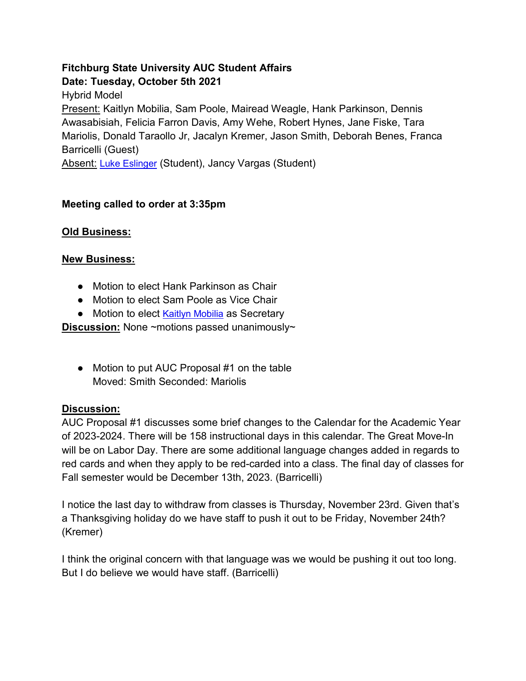# **Fitchburg State University AUC Student Affairs Date: Tuesday, October 5th 2021** Hybrid Model Present: Kaitlyn Mobilia, Sam Poole, Mairead Weagle, Hank Parkinson, Dennis Awasabisiah, Felicia Farron Davis, Amy Wehe, Robert Hynes, Jane Fiske, Tara Mariolis, Donald Taraollo Jr, Jacalyn Kremer, Jason Smith, Deborah Benes, Franca Barricelli (Guest) Absent: [Luke Eslinger](mailto:leslinge@student.fitchburgstate.edu) (Student), Jancy Vargas (Student)

### **Meeting called to order at 3:35pm**

#### **Old Business:**

#### **New Business:**

- Motion to elect Hank Parkinson as Chair
- Motion to elect Sam Poole as Vice Chair
- Motion to elect [Kaitlyn Mobilia](mailto:kmobilia@student.fitchburgstate.edu) as Secretary

**Discussion:** None ~motions passed unanimously~

● Motion to put AUC Proposal #1 on the table Moved: Smith Seconded: Mariolis

#### **Discussion:**

AUC Proposal #1 discusses some brief changes to the Calendar for the Academic Year of 2023-2024. There will be 158 instructional days in this calendar. The Great Move-In will be on Labor Day. There are some additional language changes added in regards to red cards and when they apply to be red-carded into a class. The final day of classes for Fall semester would be December 13th, 2023. (Barricelli)

I notice the last day to withdraw from classes is Thursday, November 23rd. Given that's a Thanksgiving holiday do we have staff to push it out to be Friday, November 24th? (Kremer)

I think the original concern with that language was we would be pushing it out too long. But I do believe we would have staff. (Barricelli)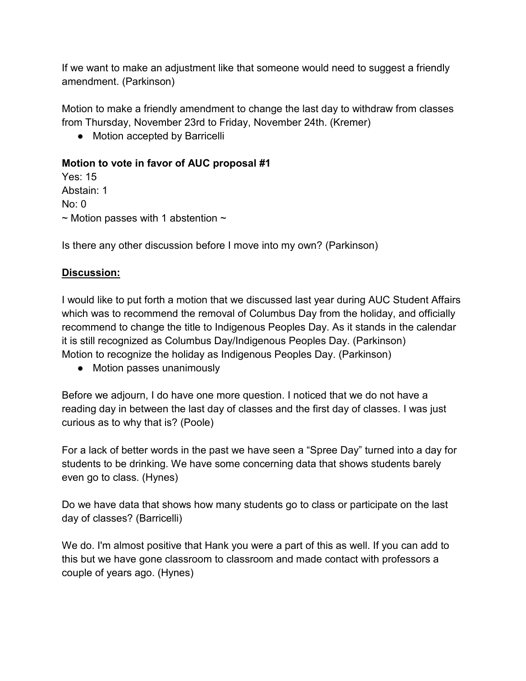If we want to make an adjustment like that someone would need to suggest a friendly amendment. (Parkinson)

Motion to make a friendly amendment to change the last day to withdraw from classes from Thursday, November 23rd to Friday, November 24th. (Kremer)

• Motion accepted by Barricelli

# **Motion to vote in favor of AUC proposal #1**

Yes: 15 Abstain: 1 No: 0  $\sim$  Motion passes with 1 abstention  $\sim$ 

Is there any other discussion before I move into my own? (Parkinson)

# **Discussion:**

I would like to put forth a motion that we discussed last year during AUC Student Affairs which was to recommend the removal of Columbus Day from the holiday, and officially recommend to change the title to Indigenous Peoples Day. As it stands in the calendar it is still recognized as Columbus Day/Indigenous Peoples Day. (Parkinson) Motion to recognize the holiday as Indigenous Peoples Day. (Parkinson)

● Motion passes unanimously

Before we adjourn, I do have one more question. I noticed that we do not have a reading day in between the last day of classes and the first day of classes. I was just curious as to why that is? (Poole)

For a lack of better words in the past we have seen a "Spree Day" turned into a day for students to be drinking. We have some concerning data that shows students barely even go to class. (Hynes)

Do we have data that shows how many students go to class or participate on the last day of classes? (Barricelli)

We do. I'm almost positive that Hank you were a part of this as well. If you can add to this but we have gone classroom to classroom and made contact with professors a couple of years ago. (Hynes)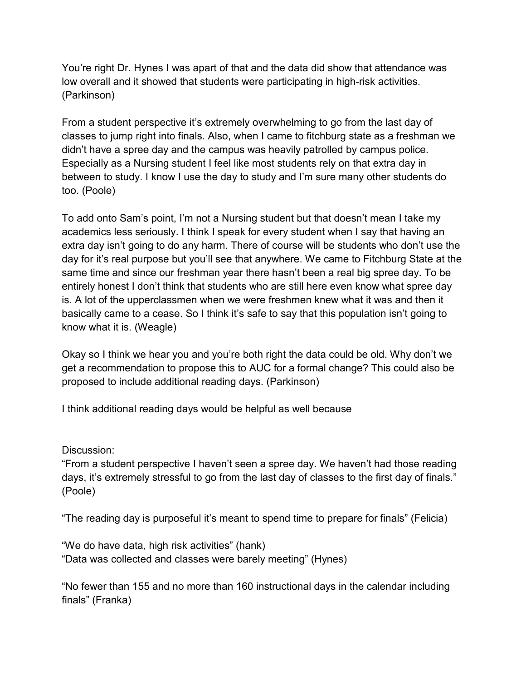You're right Dr. Hynes I was apart of that and the data did show that attendance was low overall and it showed that students were participating in high-risk activities. (Parkinson)

From a student perspective it's extremely overwhelming to go from the last day of classes to jump right into finals. Also, when I came to fitchburg state as a freshman we didn't have a spree day and the campus was heavily patrolled by campus police. Especially as a Nursing student I feel like most students rely on that extra day in between to study. I know I use the day to study and I'm sure many other students do too. (Poole)

To add onto Sam's point, I'm not a Nursing student but that doesn't mean I take my academics less seriously. I think I speak for every student when I say that having an extra day isn't going to do any harm. There of course will be students who don't use the day for it's real purpose but you'll see that anywhere. We came to Fitchburg State at the same time and since our freshman year there hasn't been a real big spree day. To be entirely honest I don't think that students who are still here even know what spree day is. A lot of the upperclassmen when we were freshmen knew what it was and then it basically came to a cease. So I think it's safe to say that this population isn't going to know what it is. (Weagle)

Okay so I think we hear you and you're both right the data could be old. Why don't we get a recommendation to propose this to AUC for a formal change? This could also be proposed to include additional reading days. (Parkinson)

I think additional reading days would be helpful as well because

Discussion:

"From a student perspective I haven't seen a spree day. We haven't had those reading days, it's extremely stressful to go from the last day of classes to the first day of finals." (Poole)

"The reading day is purposeful it's meant to spend time to prepare for finals" (Felicia)

"We do have data, high risk activities" (hank) "Data was collected and classes were barely meeting" (Hynes)

"No fewer than 155 and no more than 160 instructional days in the calendar including finals" (Franka)